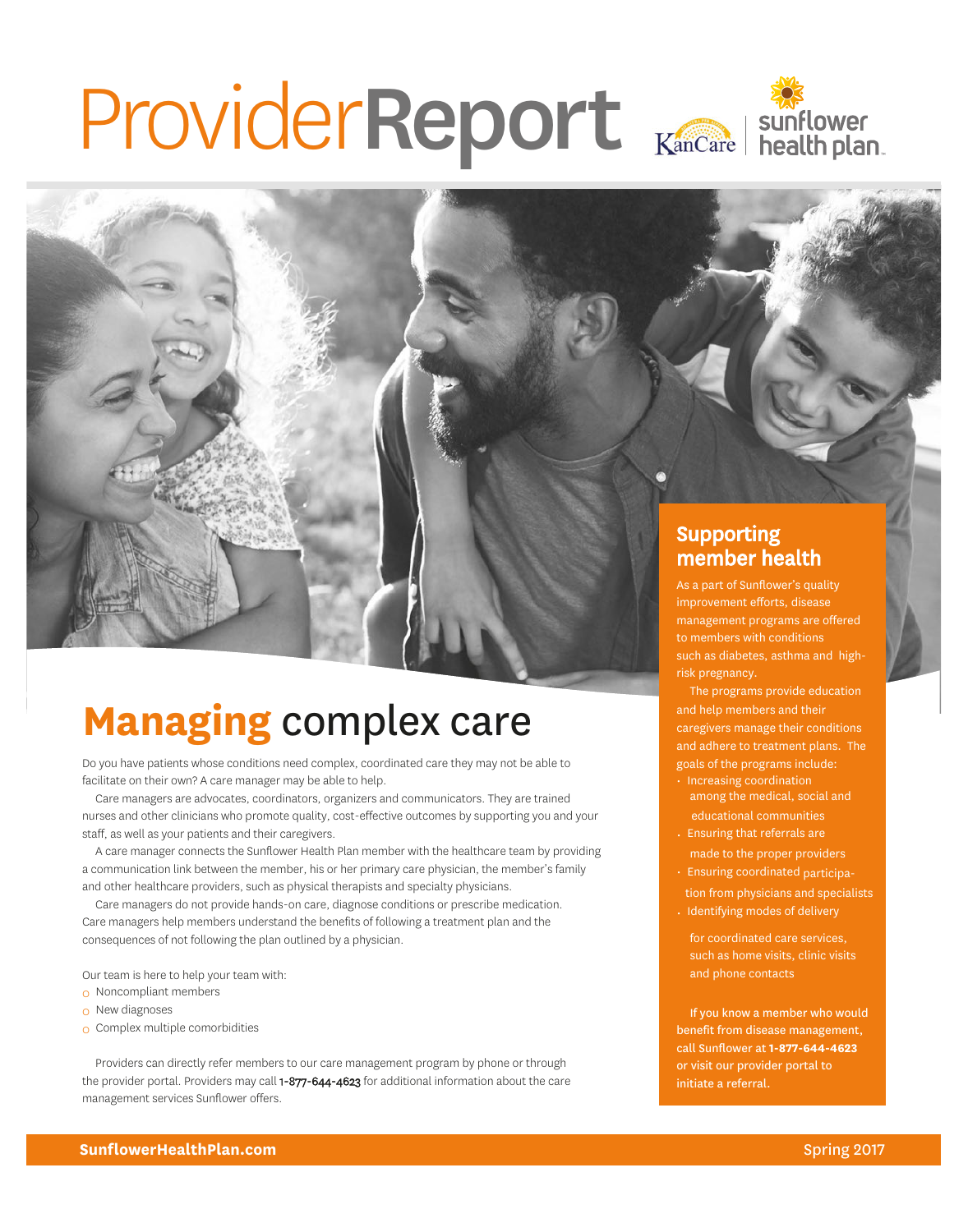# ProviderReport Kancare | sunflower



### Supporting member health

As a part of Sunflower's quality improvement efforts, disease management programs are offered to members with conditions such as diabetes, asthma and highrisk pregnancy.

The programs provide education and help members and their caregivers manage their conditions and adhere to treatment plans. The goals of the programs include:

- Increasing coordination among the medical, social and educational communities
- Ensuring that referrals are made to the proper providers
- Ensuring coordinated participa-
- tion from physicians and specialists • Identifying modes of delivery
	- for coordinated care services, such as home visits, clinic visits and phone contacts

If you know a member who would benefit from disease management, call Sunflower at **1-877-644-4623** or visit our provider portal to initiate a referral.

# **Managing** complex care

Do you have patients whose conditions need complex, coordinated care they may not be able to facilitate on their own? A care manager may be able to help.

Care managers are advocates, coordinators, organizers and communicators. They are trained nurses and other clinicians who promote quality, cost-effective outcomes by supporting you and your staff, as well as your patients and their caregivers.

A care manager connects the Sunflower Health Plan member with the healthcare team by providing a communication link between the member, his or her primary care physician, the member's family and other healthcare providers, such as physical therapists and specialty physicians.

Care managers do not provide hands-on care, diagnose conditions or prescribe medication. Care managers help members understand the benefits of following a treatment plan and the consequences of not following the plan outlined by a physician.

Our team is here to help your team with:

- 0 Noncompliant members
- $\Omega$  New diagnoses
- 0 Complex multiple comorbidities

Providers can directly refer members to our care management program by phone or through the provider portal. Providers may call 1-877-644-4623 for additional information about the care management services Sunflower offers.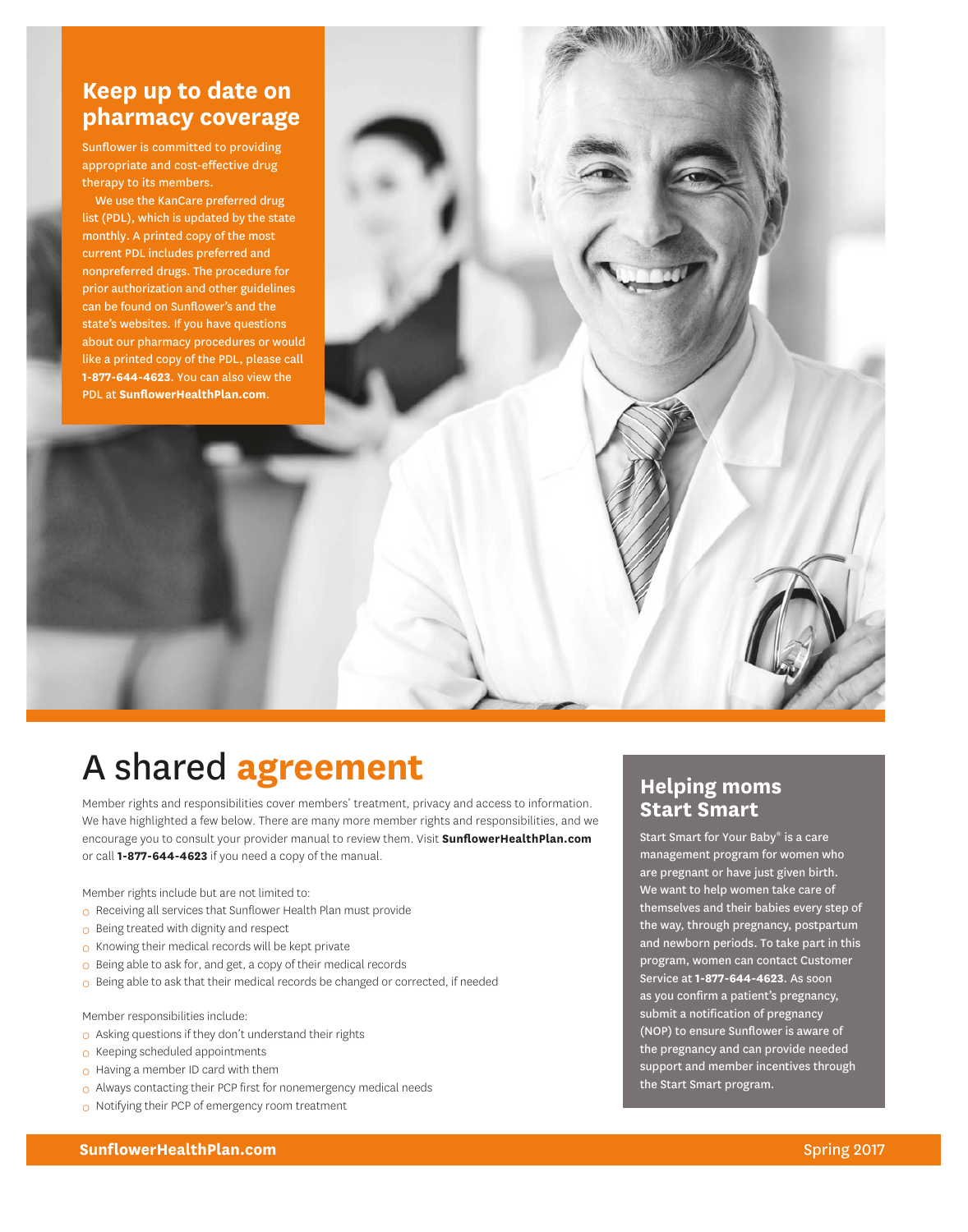### **Keep up to date on pharmacy coverage**

Sunflower is committed to providing appropriate and cost-effective drug therapy to its members.

We use the KanCare preferred drug list (PDL), which is updated by the state monthly. A printed copy of the most current PDL includes preferred and nonpreferred drugs. The procedure for prior authorization and other guidelines can be found on Sunflower's and the state's websites. If you have questions about our pharmacy procedures or would like a printed copy of the PDL, please call **1-877-644-4623**. You can also view the PDL at **[SunflowerHealthPlan.com](https://www.sunflowerhealthplan.com/)**.

# A shared **agreement**

Member rights and responsibilities cover members' treatment, privacy and access to information. We have highlighted a few below. There are many more member rights and responsibilities, and we encourage you to consult your provider manual to review them. Visit **[SunflowerHealthPlan.com](https://www.sunflowerhealthplan.com/)** or call **1-877-644-4623** if you need a copy of the manual.

Member rights include but are not limited to:

- 0 Receiving all services that Sunflower Health Plan must provide
- 0 Being treated with dignity and respect
- 0 Knowing their medical records will be kept private
- 0 Being able to ask for, and get, a copy of their medical records
- 0 Being able to ask that their medical records be changed or corrected, if needed

Member responsibilities include:

- 0 Asking questions if they don't understand their rights
- 0 Keeping scheduled appointments
- o Having a member ID card with them
- 0 Always contacting their PCP first for nonemergency medical needs
- o Notifying their PCP of emergency room treatment

### **Helping moms Start Smart**

Start Smart for Your Baby® is a care management program for women who are pregnant or have just given birth. We want to help women take care of themselves and their babies every step of the way, through pregnancy, postpartum and newborn periods. To take part in this program, women can contact Customer Service at **1-877-644-4623**. As soon as you confirm a patient's pregnancy, submit a notification of pregnancy (NOP) to ensure Sunflower is aware of the pregnancy and can provide needed support and member incentives through the Start Smart program.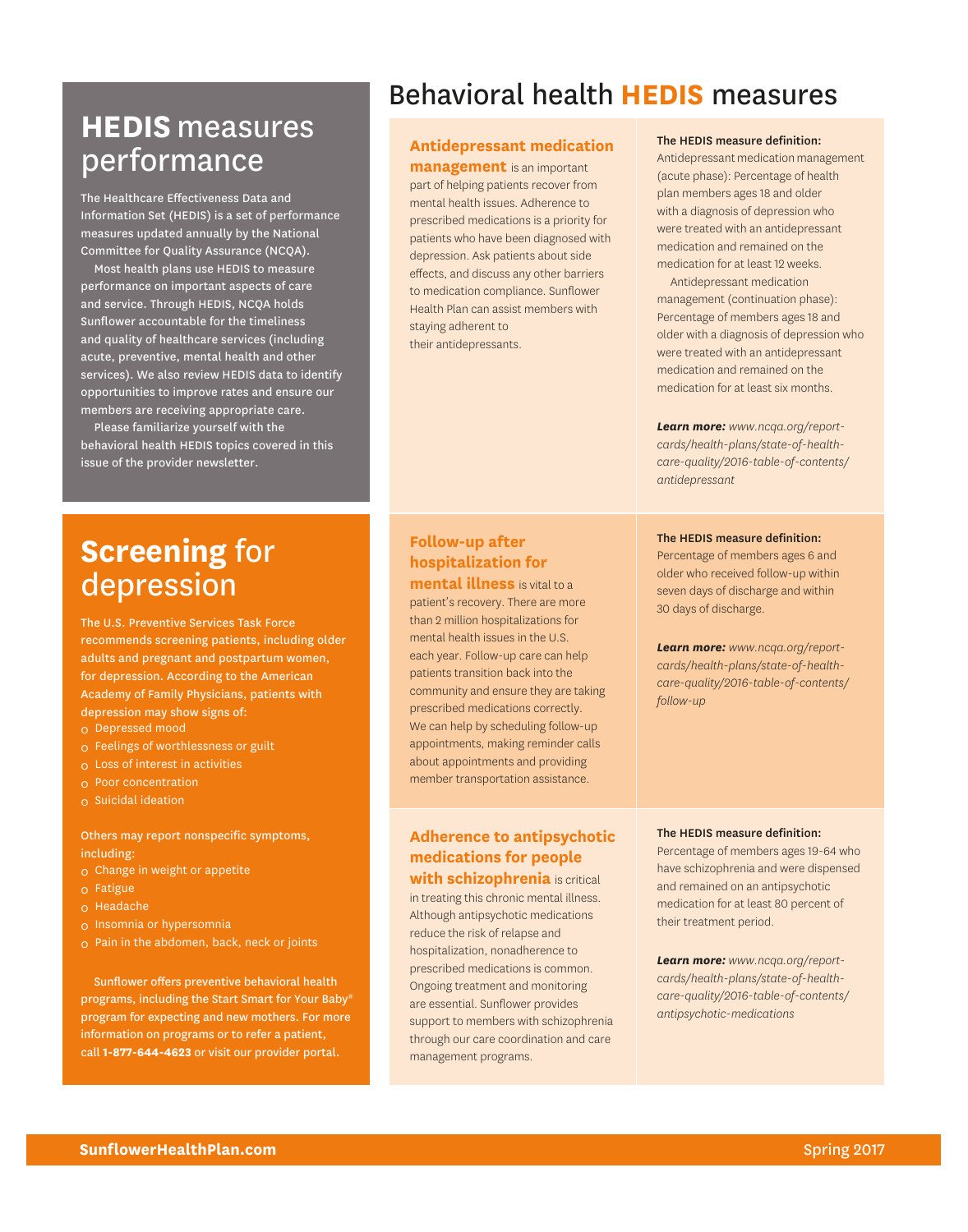# **HEDIS**measures performance

The Healthcare Effectiveness Data and Information Set (HEDIS) is a set of performance measures updated annually by the National Committee for Quality Assurance (NCQA).

Most health plans use HEDIS to measure performance on important aspects of care and service. Through HEDIS, NCQA holds Sunflower accountable for the timeliness and quality of healthcare services (including acute, preventive, mental health and other services). We also review HEDIS data to identify opportunities to improve rates and ensure our members are receiving appropriate care.

Please familiarize yourself with the behavioral health HEDIS topics covered in this issue of the provider newsletter.

# Behavioral health **HEDIS** measures

#### **Antidepressant medication**

**management** is an important part of helping patients recover from mental health issues. Adherence to prescribed medications is a priority for patients who have been diagnosed with depression. Ask patients about side effects, and discuss any other barriers to medication compliance. Sunflower Health Plan can assist members with staying adherent to their antidepressants.

#### The HEDIS measure definition:

Antidepressant medication management (acute phase): Percentage of health plan members ages 18 and older with a diagnosis of depression who were treated with an antidepressant medication and remained on the medication for at least 12 weeks.

Antidepressant medication management (continuation phase): Percentage of members ages 18 and older with a diagnosis of depression who were treated with an antidepressant medication and remained on the medication for at least six months.

*Learn more: [www.ncqa.org/report](http://www.ncqa.org/report-cards/health-plans/state-of-health-care-quality/2016-table-of-contents/antidepressant)[cards/health-plans/state-of-health](http://www.ncqa.org/report-cards/health-plans/state-of-health-care-quality/2016-table-of-contents/antidepressant)[care-quality/2016-table-of-contents/](http://www.ncqa.org/report-cards/health-plans/state-of-health-care-quality/2016-table-of-contents/antidepressant) [antidepressant](http://www.ncqa.org/report-cards/health-plans/state-of-health-care-quality/2016-table-of-contents/antidepressant)*

#### The HEDIS measure definition:

Percentage of members ages 6 and older who received follow-up within seven days of discharge and within 30 days of discharge.

*Learn more: [www.ncqa.org/report](http://www.ncqa.org/report-cards/health-plans/state-of-health-care-quality/2016-table-of-contents/follow-up)[cards/health-plans/state-of-health](http://www.ncqa.org/report-cards/health-plans/state-of-health-care-quality/2016-table-of-contents/follow-up)[care-quality/2016-table-of-contents/](http://www.ncqa.org/report-cards/health-plans/state-of-health-care-quality/2016-table-of-contents/follow-up) [follow-up](http://www.ncqa.org/report-cards/health-plans/state-of-health-care-quality/2016-table-of-contents/follow-up)*

# **Screening** for depression

The U.S. Preventive Services Task Force recommends screening patients, including older adults and pregnant and postpartum women, for depression. According to the American Academy of Family Physicians, patients with depression may show signs of:

- 0 Depressed mood
- 0 Feelings of worthlessness or guilt
- 0 Loss of interest in activities
- 0 Poor concentration
- 0 Suicidal ideation

Others may report nonspecific symptoms, including:

- 0 Change in weight or appetite
- 0 Fatigue
- 0 Headache
- 0 Insomnia or hypersomnia
- $\Omega$  Pain in the abdomen, back, neck or joints

Sunflower offers preventive behavioral health programs, including the Start Smart for Your Baby® program for expecting and new mothers. For more information on programs or to refer a patient, call **1-877-644-4623** or visit our provider portal.

#### **Follow-up after hospitalization for mental illness** is vital to a

patient's recovery. There are more than 2 million hospitalizations for mental health issues in the U.S. each year. Follow-up care can help patients transition back into the community and ensure they are taking prescribed medications correctly. We can help by scheduling follow-up appointments, making reminder calls about appointments and providing member transportation assistance.

#### **Adherence to antipsychotic medications for people with schizophrenia** is critical

in treating this chronic mental illness. Although antipsychotic medications reduce the risk of relapse and hospitalization, nonadherence to prescribed medications is common. Ongoing treatment and monitoring are essential. Sunflower provides support to members with schizophrenia through our care coordination and care management programs.

#### The HEDIS measure definition:

Percentage of members ages 19-64 who have schizophrenia and were dispensed and remained on an antipsychotic medication for at least 80 percent of their treatment period.

*Learn more: [www.ncqa.org/report](http://www.ncqa.org/report-cards/health-plans/state-of-health-care-quality/2016-table-of-contents/antipsychotic-medications)[cards/health-plans/state-of-health](http://www.ncqa.org/report-cards/health-plans/state-of-health-care-quality/2016-table-of-contents/antipsychotic-medications)[care-quality/2016-table-of-contents/](http://www.ncqa.org/report-cards/health-plans/state-of-health-care-quality/2016-table-of-contents/antipsychotic-medications) [antipsychotic-medications](http://www.ncqa.org/report-cards/health-plans/state-of-health-care-quality/2016-table-of-contents/antipsychotic-medications)*